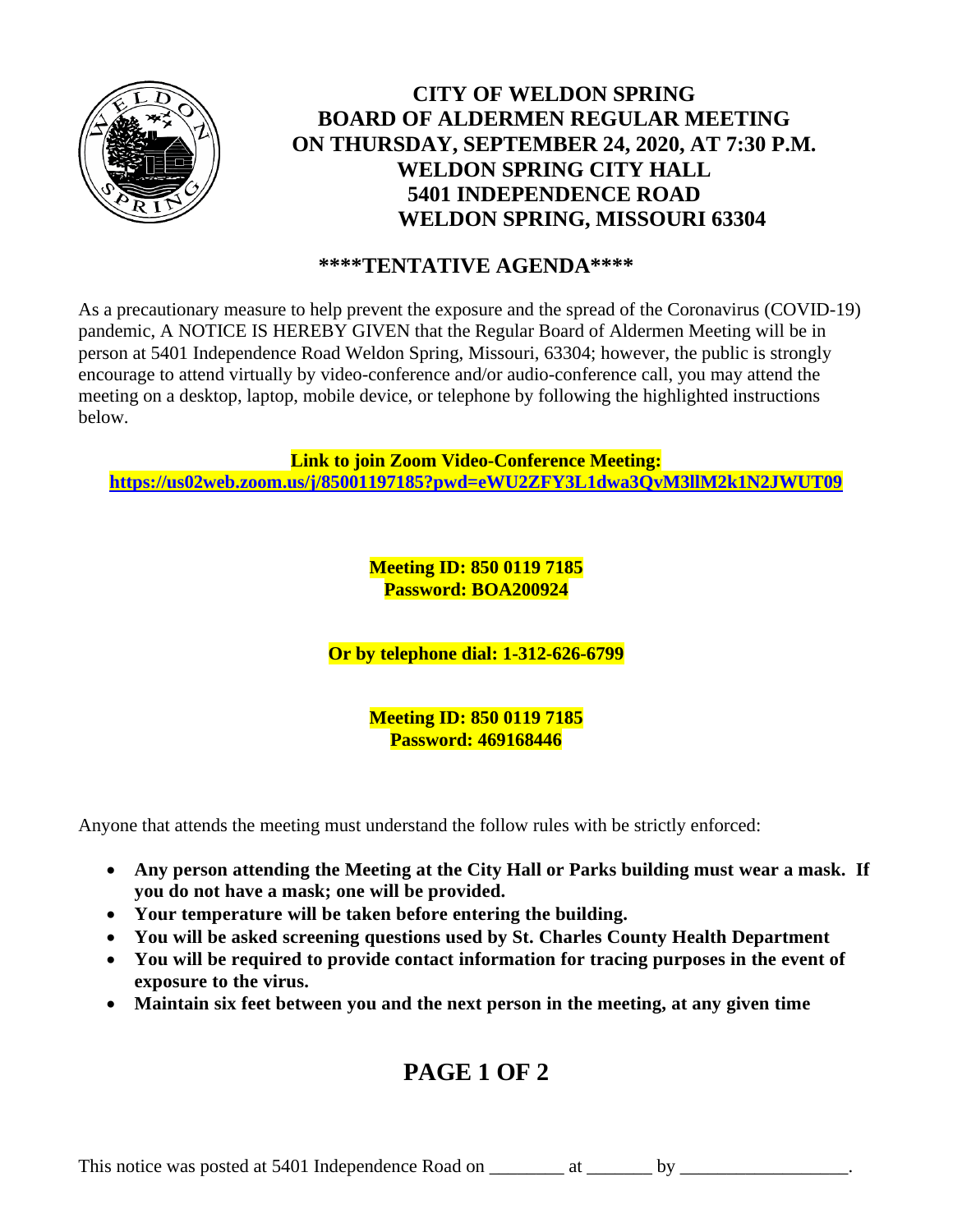

## **CITY OF WELDON SPRING BOARD OF ALDERMEN REGULAR MEETING ON THURSDAY, SEPTEMBER 24, 2020, AT 7:30 P.M. WELDON SPRING CITY HALL 5401 INDEPENDENCE ROAD WELDON SPRING, MISSOURI 63304**

### **\*\*\*\*TENTATIVE AGENDA\*\*\*\***

As a precautionary measure to help prevent the exposure and the spread of the Coronavirus (COVID-19) pandemic, A NOTICE IS HEREBY GIVEN that the Regular Board of Aldermen Meeting will be in person at 5401 Independence Road Weldon Spring, Missouri, 63304; however, the public is strongly encourage to attend virtually by video-conference and/or audio-conference call, you may attend the meeting on a desktop, laptop, mobile device, or telephone by following the highlighted instructions below.

**Link to join Zoom Video-Conference Meeting: <https://us02web.zoom.us/j/85001197185?pwd=eWU2ZFY3L1dwa3QvM3llM2k1N2JWUT09>**

> **Meeting ID: 850 0119 7185 Password: BOA200924**

**Or by telephone dial: 1-312-626-6799**

**Meeting ID: 850 0119 7185 Password: 469168446**

Anyone that attends the meeting must understand the follow rules with be strictly enforced:

- **Any person attending the Meeting at the City Hall or Parks building must wear a mask. If you do not have a mask; one will be provided.**
- **Your temperature will be taken before entering the building.**
- **You will be asked screening questions used by St. Charles County Health Department**
- **You will be required to provide contact information for tracing purposes in the event of exposure to the virus.**
- **Maintain six feet between you and the next person in the meeting, at any given time**

# **PAGE 1 OF 2**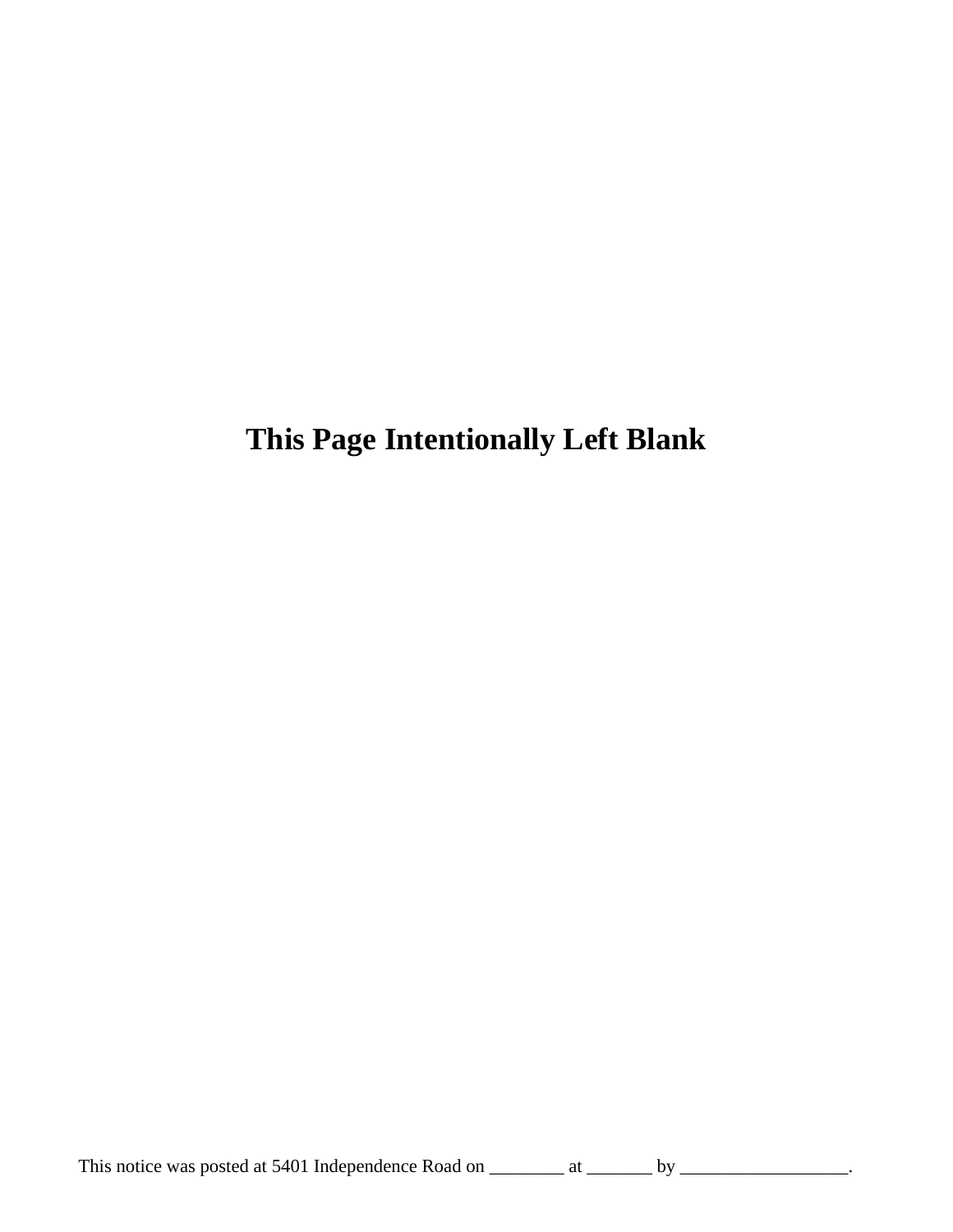**This Page Intentionally Left Blank**